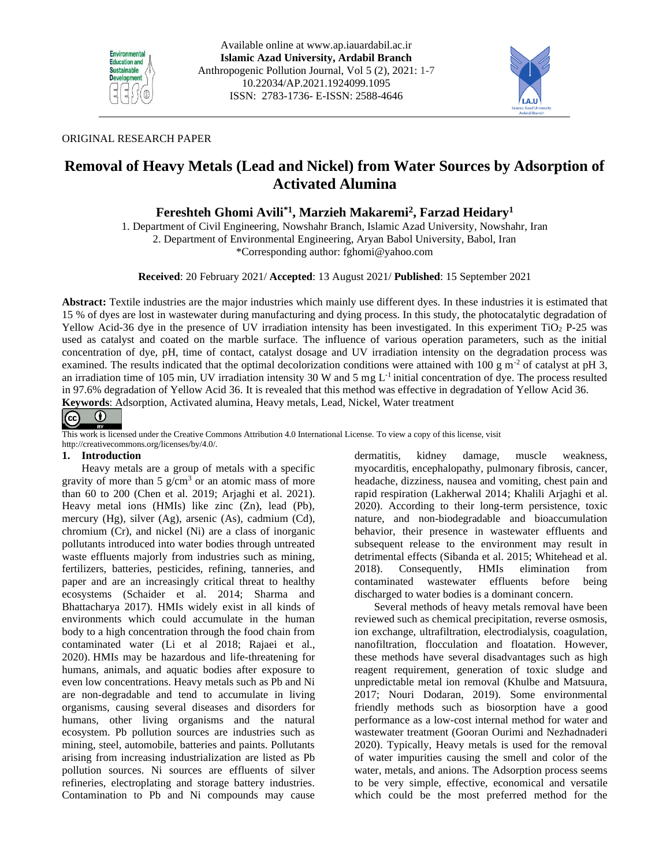



## ORIGINAL RESEARCH PAPER

# **Removal of Heavy Metals (Lead and Nickel) from Water Sources by Adsorption of Activated Alumina**

## **Fereshteh Ghomi Avili\*1, Marzieh Makaremi<sup>2</sup> , Farzad Heidary<sup>1</sup>**

1. Department of Civil Engineering, Nowshahr Branch, Islamic Azad University, Nowshahr, Iran 2. Department of Environmental Engineering, Aryan Babol University, Babol, Iran \*Corresponding author: fghomi@yahoo.com

**Received**: 20 February 2021/ **Accepted**: 13 August 2021/ **Published**: 15 September 2021

**Abstract:** Textile industries are the major industries which mainly use different dyes. In these industries it is estimated that 15 % of dyes are lost in wastewater during manufacturing and dying process. In this study, the photocatalytic degradation of Yellow Acid-36 dye in the presence of UV irradiation intensity has been investigated. In this experiment TiO<sub>2</sub> P-25 was used as catalyst and coated on the marble surface. The influence of various operation parameters, such as the initial concentration of dye, pH, time of contact, catalyst dosage and UV irradiation intensity on the degradation process was examined. The results indicated that the optimal decolorization conditions were attained with 100 g m<sup>-2</sup> of catalyst at pH 3, an irradiation time of 105 min, UV irradiation intensity 30 W and 5 mg  $L<sup>-1</sup>$  initial concentration of dye. The process resulted in 97.6% degradation of Yellow Acid 36. It is revealed that this method was effective in degradation of Yellow Acid 36. **Keywords**: Adsorption, Activated alumina, Heavy metals, Lead, Nickel, Water treatment



This work is licensed under the Creative Commons Attribution 4.0 International License. To view a copy of this license, visit

http://creativecommons.org/licenses/by/4.0/.

## **1. Introduction**

Heavy metals are a group of metals with a specific gravity of more than 5  $g/cm<sup>3</sup>$  or an atomic mass of more than 60 to 200 (Chen et al. 2019; Arjaghi et al. 2021). Heavy metal ions (HMIs) like zinc (Zn), lead (Pb), mercury (Hg), silver (Ag), arsenic (As), cadmium (Cd), chromium (Cr), and nickel (Ni) are a class of inorganic pollutants introduced into water bodies through untreated waste effluents majorly from industries such as mining, fertilizers, batteries, pesticides, refining, tanneries, and paper and are an increasingly critical threat to healthy ecosystems (Schaider et al. 2014; Sharma and Bhattacharya 2017). HMIs widely exist in all kinds of environments which could accumulate in the human body to a high concentration through the food chain from contaminated water (Li et al 2018; Rajaei et al., 2020). HMIs may be hazardous and life-threatening for humans, animals, and aquatic bodies after exposure to even low concentrations. Heavy metals such as Pb and Ni are non-degradable and tend to accumulate in living organisms, causing several diseases and disorders for humans, other living organisms and the natural ecosystem. Pb pollution sources are industries such as mining, steel, automobile, batteries and paints. Pollutants arising from increasing industrialization are listed as Pb pollution sources. Ni sources are effluents of silver refineries, electroplating and storage battery industries. Contamination to Pb and Ni compounds may cause

dermatitis, kidney damage, muscle weakness, myocarditis, encephalopathy, pulmonary fibrosis, cancer, headache, dizziness, nausea and vomiting, chest pain and rapid respiration (Lakherwal 2014; Khalili Arjaghi et al. 2020). According to their long-term persistence, toxic nature, and non-biodegradable and bioaccumulation behavior, their presence in wastewater effluents and subsequent release to the environment may result in detrimental effects (Sibanda et al. 2015; Whitehead et al. 2018). Consequently, HMIs elimination from contaminated wastewater effluents before being discharged to water bodies is a dominant concern.

Several methods of heavy metals removal have been reviewed such as chemical precipitation, reverse osmosis, ion exchange, ultrafiltration, electrodialysis, coagulation, nanofiltration, flocculation and floatation. However, these methods have several disadvantages such as high reagent requirement, generation of toxic sludge and unpredictable metal ion removal (Khulbe and Matsuura, 2017; Nouri Dodaran, 2019). Some environmental friendly methods such as biosorption have a good performance as a low-cost internal method for water and wastewater treatment (Gooran Ourimi and Nezhadnaderi 2020). Typically, Heavy metals is used for the removal of water impurities causing the smell and color of the water, metals, and anions. The Adsorption process seems to be very simple, effective, economical and versatile which could be the most preferred method for the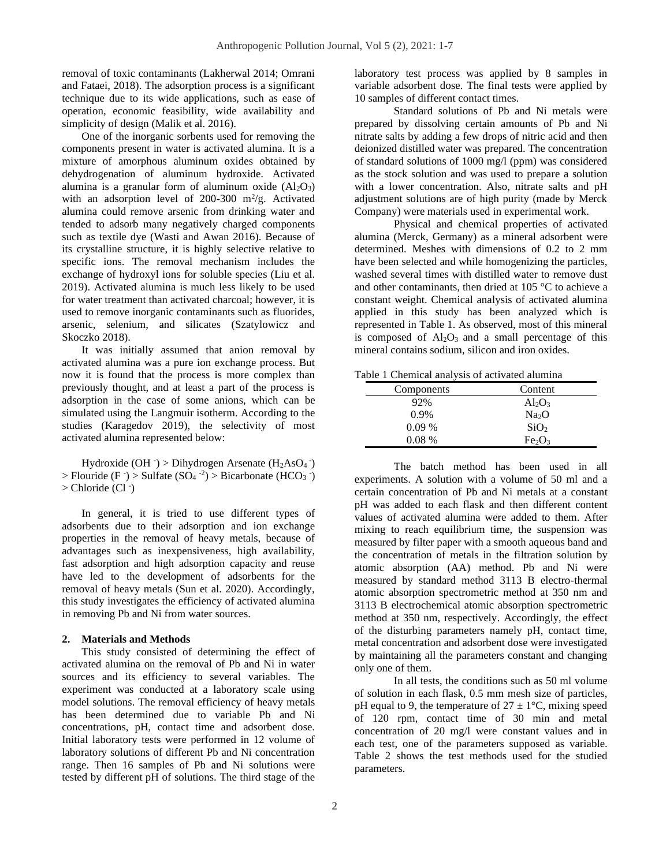removal of toxic contaminants (Lakherwal 2014; Omrani and Fataei, 2018). The adsorption process is a significant technique due to its wide applications, such as ease of operation, economic feasibility, wide availability and simplicity of design (Malik et al. 2016).

One of the inorganic sorbents used for removing the components present in water is activated alumina. It is a mixture of amorphous aluminum oxides obtained by dehydrogenation of aluminum hydroxide. Activated alumina is a granular form of aluminum oxide  $(Al<sub>2</sub>O<sub>3</sub>)$ with an adsorption level of 200-300  $m^2/g$ . Activated alumina could remove arsenic from drinking water and tended to adsorb many negatively charged components such as textile dye (Wasti and Awan 2016). Because of its crystalline structure, it is highly selective relative to specific ions. The removal mechanism includes the exchange of hydroxyl ions for soluble species (Liu et al. 2019). Activated alumina is much less likely to be used for water treatment than activated charcoal; however, it is used to remove inorganic contaminants such as fluorides, arsenic, selenium, and silicates (Szatylowicz and Skoczko 2018).

It was initially assumed that anion removal by activated alumina was a pure ion exchange process. But now it is found that the process is more complex than previously thought, and at least a part of the process is adsorption in the case of some anions, which can be simulated using the Langmuir isotherm. According to the studies (Karagedov 2019), the selectivity of most activated alumina represented below:

Hydroxide (OH $\cdot$ ) > Dihydrogen Arsenate (H<sub>2</sub>AsO<sub>4</sub> $\cdot$ ) > Flouride (F · ) > Sulfate  $(SO_4^{-2})$  > Bicarbonate (HCO<sub>3</sub> · ) > Chloride (Cl - )

In general, it is tried to use different types of adsorbents due to their adsorption and ion exchange properties in the removal of heavy metals, because of advantages such as inexpensiveness, high availability, fast adsorption and high adsorption capacity and reuse have led to the development of adsorbents for the removal of heavy metals (Sun et al. 2020). Accordingly, this study investigates the efficiency of activated alumina in removing Pb and Ni from water sources.

#### **2. Materials and Methods**

This study consisted of determining the effect of activated alumina on the removal of Pb and Ni in water sources and its efficiency to several variables. The experiment was conducted at a laboratory scale using model solutions. The removal efficiency of heavy metals has been determined due to variable Pb and Ni concentrations, pH, contact time and adsorbent dose. Initial laboratory tests were performed in 12 volume of laboratory solutions of different Pb and Ni concentration range. Then 16 samples of Pb and Ni solutions were tested by different pH of solutions. The third stage of the laboratory test process was applied by 8 samples in variable adsorbent dose. The final tests were applied by 10 samples of different contact times.

Standard solutions of Pb and Ni metals were prepared by dissolving certain amounts of Pb and Ni nitrate salts by adding a few drops of nitric acid and then deionized distilled water was prepared. The concentration of standard solutions of 1000 mg/l (ppm) was considered as the stock solution and was used to prepare a solution with a lower concentration. Also, nitrate salts and pH adjustment solutions are of high purity (made by Merck Company) were materials used in experimental work.

Physical and chemical properties of activated alumina (Merck, Germany) as a mineral adsorbent were determined. Meshes with dimensions of 0.2 to 2 mm have been selected and while homogenizing the particles, washed several times with distilled water to remove dust and other contaminants, then dried at 105 °C to achieve a constant weight. Chemical analysis of activated alumina applied in this study has been analyzed which is represented in Table 1. As observed, most of this mineral is composed of  $Al_2O_3$  and a small percentage of this mineral contains sodium, silicon and iron oxides.

Table 1 Chemical analysis of activated alumina

| Components | Content                        |  |  |
|------------|--------------------------------|--|--|
| 92%        | $Al_2O_3$                      |  |  |
| $0.9\%$    | Na <sub>2</sub> O              |  |  |
| $0.09\%$   | SiO <sub>2</sub>               |  |  |
| $0.08\%$   | Fe <sub>2</sub> O <sub>3</sub> |  |  |

The batch method has been used in all experiments. A solution with a volume of 50 ml and a certain concentration of Pb and Ni metals at a constant pH was added to each flask and then different content values of activated alumina were added to them. After mixing to reach equilibrium time, the suspension was measured by filter paper with a smooth aqueous band and the concentration of metals in the filtration solution by atomic absorption (AA) method. Pb and Ni were measured by standard method 3113 B electro-thermal atomic absorption spectrometric method at 350 nm and 3113 B electrochemical atomic absorption spectrometric method at 350 nm, respectively. Accordingly, the effect of the disturbing parameters namely pH, contact time, metal concentration and adsorbent dose were investigated by maintaining all the parameters constant and changing only one of them.

In all tests, the conditions such as 50 ml volume of solution in each flask, 0.5 mm mesh size of particles, pH equal to 9, the temperature of  $27 \pm 1$ °C, mixing speed of 120 rpm, contact time of 30 min and metal concentration of 20 mg/l were constant values and in each test, one of the parameters supposed as variable. Table 2 shows the test methods used for the studied parameters.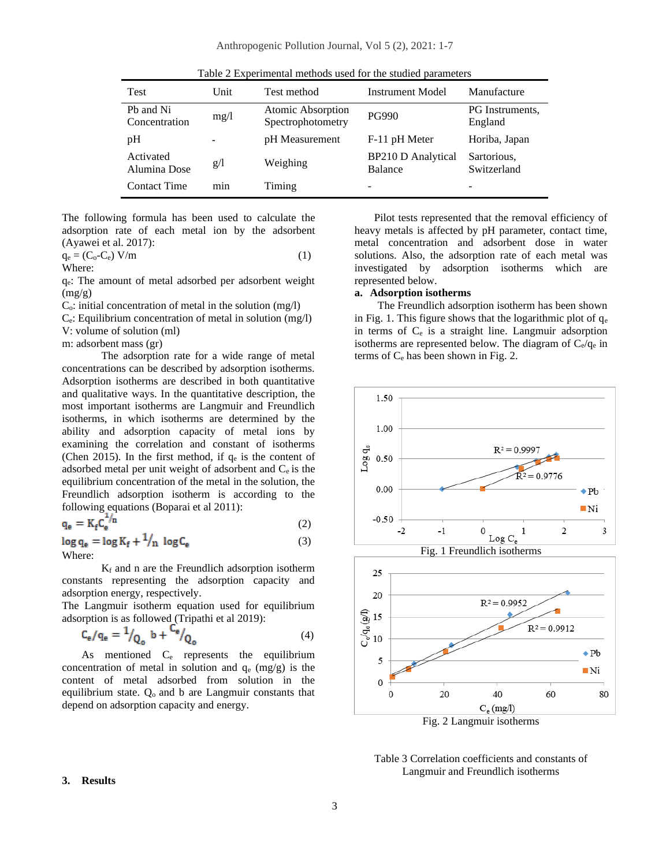| Tuble 2 Experimental includes about for the stadied parameters |      |                                        |                                      |                            |  |  |  |  |
|----------------------------------------------------------------|------|----------------------------------------|--------------------------------------|----------------------------|--|--|--|--|
| <b>Test</b>                                                    | Unit | Test method<br><b>Instrument Model</b> |                                      | Manufacture                |  |  |  |  |
| Ph and Ni<br>Concentration                                     | mg/1 | Atomic Absorption<br>Spectrophotometry | <b>PG990</b>                         | PG Instruments.<br>England |  |  |  |  |
| pH                                                             |      | pH Measurement                         | F-11 pH Meter                        | Horiba, Japan              |  |  |  |  |
| Activated<br>Alumina Dose                                      | g/l  | Weighing                               | <b>BP210 D Analytical</b><br>Balance | Sartorious,<br>Switzerland |  |  |  |  |
| <b>Contact Time</b>                                            | min  | Timing                                 | -                                    |                            |  |  |  |  |

Table 2 Experimental methods used for the studied parameters

The following formula has been used to calculate the adsorption rate of each metal ion by the adsorbent (Ayawei et al. 2017):

 $q_e = (C_o - C_e) V/m$  (1)

Where:

qe: The amount of metal adsorbed per adsorbent weight  $(mg/g)$ 

 $C<sub>o</sub>$ : initial concentration of metal in the solution (mg/l)

Ce: Equilibrium concentration of metal in solution (mg/l) V: volume of solution (ml)

m: adsorbent mass (gr)

The adsorption rate for a wide range of metal concentrations can be described by adsorption isotherms. Adsorption isotherms are described in both quantitative and qualitative ways. In the quantitative description, the most important isotherms are Langmuir and Freundlich isotherms, in which isotherms are determined by the ability and adsorption capacity of metal ions by examining the correlation and constant of isotherms (Chen 2015). In the first method, if  $q_e$  is the content of adsorbed metal per unit weight of adsorbent and Ce is the equilibrium concentration of the metal in the solution, the Freundlich adsorption isotherm is according to the following equations (Boparai et al 2011):

$$
q_e = K_f C_e^{-/n}
$$
 (2)

 $\log q_e = \log K_f + \frac{1}{n} \log C_e$ Where:

 $K_f$  and n are the Freundlich adsorption isotherm constants representing the adsorption capacity and adsorption energy, respectively.

The Langmuir isotherm equation used for equilibrium adsorption is as followed (Tripathi et al 2019):

$$
C_e / q_e = \frac{1}{Q_o} b + \frac{C_e}{Q_o}
$$
 (4)

As mentioned C<sup>e</sup> represents the equilibrium concentration of metal in solution and  $q_e$  (mg/g) is the content of metal adsorbed from solution in the equilibrium state.  $Q_0$  and b are Langmuir constants that depend on adsorption capacity and energy.

Pilot tests represented that the removal efficiency of heavy metals is affected by pH parameter, contact time, metal concentration and adsorbent dose in water solutions. Also, the adsorption rate of each metal was investigated by adsorption isotherms which are represented below.

#### **a. Adsorption isotherms**

The Freundlich adsorption isotherm has been shown in Fig. 1. This figure shows that the logarithmic plot of  $q_e$ in terms of  $C_e$  is a straight line. Langmuir adsorption isotherms are represented below. The diagram of  $C_e/q_e$  in terms of  $C_e$  has been shown in Fig. 2.



Table 3 Correlation coefficients and constants of Langmuir and Freundlich isotherms

#### **3. Results**

(3)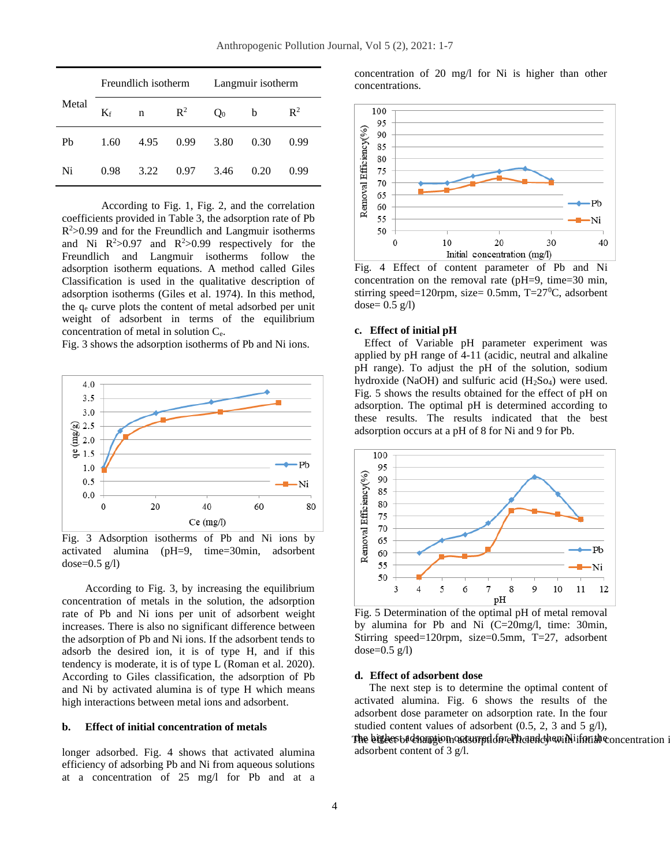|       | Freundlich isotherm |      |                | Langmuir isotherm |      |                |
|-------|---------------------|------|----------------|-------------------|------|----------------|
| Metal | $K_f$               | n    | $\mathbb{R}^2$ | $Q_0$             | b    | $\mathbb{R}^2$ |
| Pb    | 1.60                | 4.95 | 0.99           | 3.80              | 0.30 | 0.99           |
| Ni    | 0.98                | 3.22 | 0.97           | 3.46              | 0.20 | 0.99           |

According to Fig. 1, Fig. 2, and the correlation coefficients provided in Table 3, the adsorption rate of Pb  $R<sup>2</sup>$  > 0.99 and for the Freundlich and Langmuir isotherms and Ni  $R^2 > 0.97$  and  $R^2 > 0.99$  respectively for the Freundlich and Langmuir isotherms follow the adsorption isotherm equations. A method called Giles Classification is used in the qualitative description of adsorption isotherms (Giles et al. 1974). In this method, the q<sup>e</sup> curve plots the content of metal adsorbed per unit weight of adsorbent in terms of the equilibrium concentration of metal in solution Ce.

Fig. 3 shows the adsorption isotherms of Pb and Ni ions.



Fig. 3 Adsorption isotherms of Pb and Ni ions by activated alumina (pH=9, time=30min, adsorbent dose= $0.5$  g/l)

According to Fig. 3, by increasing the equilibrium concentration of metals in the solution, the adsorption rate of Pb and Ni ions per unit of adsorbent weight increases. There is also no significant difference between the adsorption of Pb and Ni ions. If the adsorbent tends to adsorb the desired ion, it is of type H, and if this tendency is moderate, it is of type L (Roman et al. 2020). According to Giles classification, the adsorption of Pb and Ni by activated alumina is of type H which means high interactions between metal ions and adsorbent.

#### **b. Effect of initial concentration of metals**

longer adsorbed. Fig. 4 shows that activated alumina efficiency of adsorbing Pb and Ni from aqueous solutions at a concentration of 25 mg/l for Pb and at a concentration of 20 mg/l for Ni is higher than other concentrations.



Fig. 4 Effect of content parameter of Pb and Ni concentration on the removal rate (pH=9, time=30 min, stirring speed=120rpm, size=  $0.5$ mm, T=27<sup>0</sup>C, adsorbent dose=  $0.5$  g/l)

## **c. Effect of initial pH**

Effect of Variable pH parameter experiment was applied by pH range of 4-11 (acidic, neutral and alkaline pH range). To adjust the pH of the solution, sodium hydroxide (NaOH) and sulfuric acid  $(H_2SO_4)$  were used. Fig. 5 shows the results obtained for the effect of pH on adsorption. The optimal pH is determined according to these results. The results indicated that the best adsorption occurs at a pH of 8 for Ni and 9 for Pb.



Fig. 5 Determination of the optimal pH of metal removal by alumina for Pb and Ni (C=20mg/l, time: 30min, Stirring speed=120rpm, size=0.5mm, T=27, adsorbent dose= $0.5$  g/l)

#### **d. Effect of adsorbent dose**

The next step is to determine the optimal content of activated alumina. Fig. 6 shows the results of the adsorbent dose parameter on adsorption rate. In the four studied content values of adsorbent (0.5, 2, 3 and 5 g/l),

The bigbest adsamption adsurpd on ePhoind chan in limith concentration i adsorbent content of 3 g/l.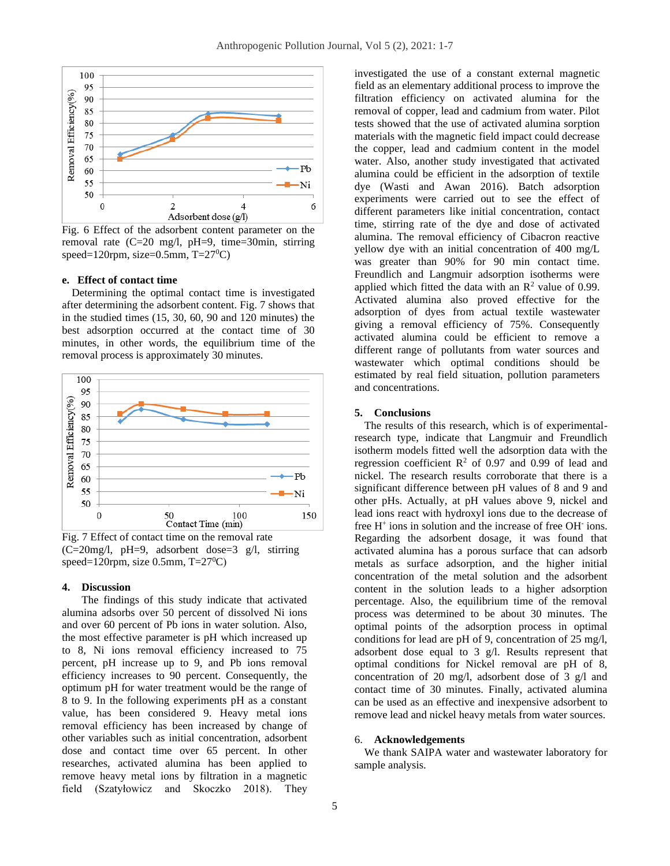

Fig. 6 Effect of the adsorbent content parameter on the removal rate (C=20 mg/l, pH=9, time=30min, stirring speed=120rpm, size=0.5mm,  $T=27^{\circ}C$ )

#### **e. Effect of contact time**

Determining the optimal contact time is investigated after determining the adsorbent content. Fig. 7 shows that in the studied times (15, 30, 60, 90 and 120 minutes) the best adsorption occurred at the contact time of 30 minutes, in other words, the equilibrium time of the removal process is approximately 30 minutes.



Fig. 7 Effect of contact time on the removal rate (C=20mg/l, pH=9, adsorbent dose=3 g/l, stirring speed=120rpm, size 0.5mm,  $T=27^{\circ}C$ )

#### **4. Discussion**

The findings of this study indicate that activated alumina adsorbs over 50 percent of dissolved Ni ions and over 60 percent of Pb ions in water solution. Also, the most effective parameter is pH which increased up to 8, Ni ions removal efficiency increased to 75 percent, pH increase up to 9, and Pb ions removal efficiency increases to 90 percent. Consequently, the optimum pH for water treatment would be the range of 8 to 9. In the following experiments pH as a constant value, has been considered 9. Heavy metal ions removal efficiency has been increased by change of other variables such as initial concentration, adsorbent dose and contact time over 65 percent. In other researches, activated alumina has been applied to remove heavy metal ions by filtration in a magnetic field (Szatyłowicz and Skoczko 2018). They

investigated the use of a constant external magnetic field as an elementary additional process to improve the filtration efficiency on activated alumina for the removal of copper, lead and cadmium from water. Pilot tests showed that the use of activated alumina sorption materials with the magnetic field impact could decrease the copper, lead and cadmium content in the model water. Also, another study investigated that activated alumina could be efficient in the adsorption of textile dye (Wasti and Awan 2016). Batch adsorption experiments were carried out to see the effect of different parameters like initial concentration, contact time, stirring rate of the dye and dose of activated alumina. The removal efficiency of Cibacron reactive yellow dye with an initial concentration of 400 mg/L was greater than 90% for 90 min contact time. Freundlich and Langmuir adsorption isotherms were applied which fitted the data with an  $\mathbb{R}^2$  value of 0.99. Activated alumina also proved effective for the adsorption of dyes from actual textile wastewater giving a removal efficiency of 75%. Consequently activated alumina could be efficient to remove a different range of pollutants from water sources and wastewater which optimal conditions should be estimated by real field situation, pollution parameters and concentrations.

## **5. Conclusions**

The results of this research, which is of experimentalresearch type, indicate that Langmuir and Freundlich isotherm models fitted well the adsorption data with the regression coefficient  $R^2$  of 0.97 and 0.99 of lead and nickel. The research results corroborate that there is a significant difference between pH values of 8 and 9 and other pHs. Actually, at pH values above 9, nickel and lead ions react with hydroxyl ions due to the decrease of free H<sup>+</sup> ions in solution and the increase of free OH<sup>-</sup> ions. Regarding the adsorbent dosage, it was found that activated alumina has a porous surface that can adsorb metals as surface adsorption, and the higher initial concentration of the metal solution and the adsorbent content in the solution leads to a higher adsorption percentage. Also, the equilibrium time of the removal process was determined to be about 30 minutes. The optimal points of the adsorption process in optimal conditions for lead are pH of 9, concentration of 25 mg/l, adsorbent dose equal to 3 g/l. Results represent that optimal conditions for Nickel removal are pH of 8, concentration of 20 mg/l, adsorbent dose of 3 g/l and contact time of 30 minutes. Finally, activated alumina can be used as an effective and inexpensive adsorbent to remove lead and nickel heavy metals from water sources.

#### 6. **Acknowledgements**

We thank SAIPA water and wastewater laboratory for sample analysis.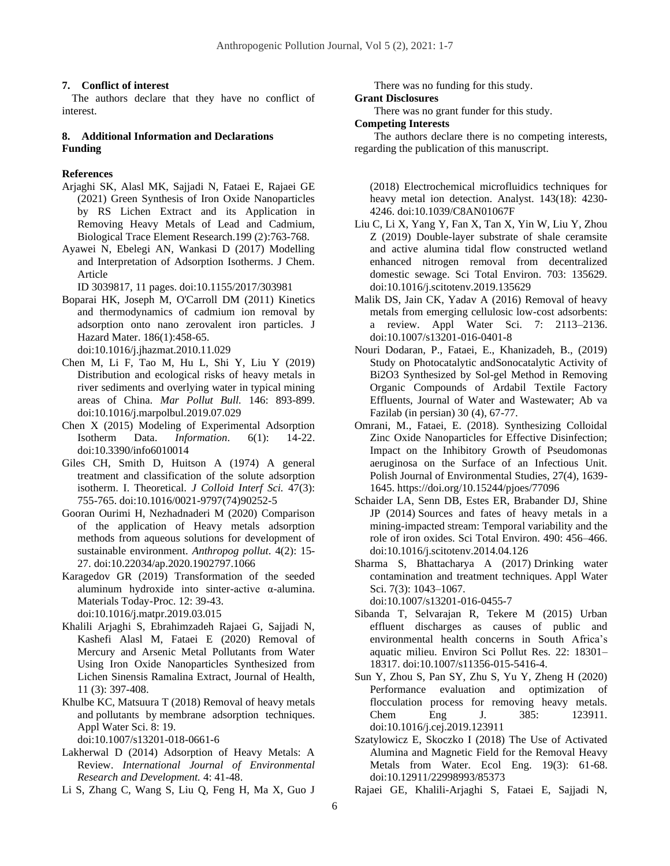#### **7. Conflict of interest**

The authors declare that they have no conflict of interest.

## **8. Additional Information and Declarations Funding**

## **References**

Arjaghi SK, Alasl MK, Sajjadi N, Fataei E, Rajaei GE (2021) Green Synthesis of Iron Oxide Nanoparticles by RS Lichen Extract and its Application in Removing Heavy Metals of Lead and Cadmium, Biological Trace Element Research.199 (2):763-768.

Ayawei N, Ebelegi AN, Wankasi D (2017) Modelling and Interpretation of Adsorption Isotherms. J Chem. Article

ID 3039817, 11 pages. [doi:10.1155/2017/303981](https://doi.org/10.1155/2017/303981)

Boparai HK, Joseph M, O'Carroll DM (2011) Kinetics and thermodynamics of cadmium ion removal by adsorption onto nano zerovalent iron particles. J Hazard Mater. 186(1):458-65.

doi:10.1016/j.jhazmat.2010.11.029

- Chen M, Li F, Tao M, Hu L, Shi Y, Liu Y (2019) Distribution and ecological risks of heavy metals in river sediments and overlying water in typical mining areas of China. *Mar Pollut Bull.* 146: 893-899. [doi:10.1016/j.marpolbul.2019.07.029](https://doi:10.1016/j.marpolbul.2019.07.029)
- Chen X (2015) Modeling of Experimental Adsorption Isotherm Data. *Information*. 6(1): 14-22. doi:10.3390/info6010014
- Giles CH, Smith D, Huitson A (1974) A general treatment and classification of the solute adsorption isotherm. I. Theoretical. *J Colloid Interf Sci.* 47(3): 755-765. [doi:10.1016/0021-9797\(74\)90252-5](https://doi.org/10.1016/0021-9797(74)90252-5)
- Gooran Ourimi H, Nezhadnaderi M (2020) Comparison of the application of Heavy metals adsorption methods from aqueous solutions for development of sustainable environment. *Anthropog pollut*. 4(2): 15- 27. doi:10.22034/ap.2020.1902797.1066
- Karagedov GR (2019) Transformation of the seeded aluminum hydroxide into sinter-active α-alumina. Materials Today-Proc. 12: 39-43. [doi:10.1016/j.matpr.2019.03.015](https://doi.org/10.1016/j.matpr.2019.03.015)
- Khalili Arjaghi S, Ebrahimzadeh Rajaei G, Sajjadi N, Kashefi Alasl M, Fataei E (2020) Removal of Mercury and Arsenic Metal Pollutants from Water Using Iron Oxide Nanoparticles Synthesized from Lichen Sinensis Ramalina Extract, Journal of Health, 11 (3): 397-408.
- Khulbe KC, Matsuura T (2018) Removal of heavy metals and pollutants by membrane adsorption techniques. Appl Water Sci. 8: 19.

[doi:10.1007/s13201-018-0661-6](https://doi.org/10.1007/s13201-018-0661-6)

- Lakherwal D (2014) Adsorption of Heavy Metals: A Review. *International Journal of Environmental Research and Development.* 4: 41-48.
- Li S, Zhang C, Wang S, Liu Q, Feng H, Ma X, Guo J

There was no funding for this study.

#### **Grant Disclosures**

There was no grant funder for this study.

**Competing Interests** 

The authors declare there is no competing interests, regarding the publication of this manuscript.

(2018) Electrochemical microfluidics techniques for heavy metal ion detection. Analyst. 143(18): 4230- 4246. [doi:10.1039/C8AN01067F](https://doi.org/10.1039/C8AN01067F)

- Liu C, Li X, Yang Y, Fan X, Tan X, Yin W, Liu Y, Zhou Z (2019) Double-layer substrate of shale ceramsite and active alumina tidal flow constructed wetland enhanced nitrogen removal from decentralized domestic sewage. Sci Total Environ. 703: 135629. [doi:10.1016/j.scitotenv.2019.135629](https://doi.org/10.1016/j.scitotenv.2019.135629)
- Malik DS, Jain CK, Yadav A (2016) Removal of heavy metals from emerging cellulosic low-cost adsorbents: a review. Appl Water Sci. 7: 2113–2136. [doi:10.1007/s13201-016-0401-8](https://doi.org/10.1007/s13201-016-0401-8)
- Nouri Dodaran, P., Fataei, E., Khanizadeh, B., (2019) Study on Photocatalytic andSonocatalytic Activity of Bi2O3 Synthesized by Sol-gel Method in Removing Organic Compounds of Ardabil Textile Factory Effluents, Journal of Water and Wastewater; Ab va Fazilab (in persian) 30 (4), 67-77.
- Omrani, M., Fataei, E. (2018). Synthesizing Colloidal Zinc Oxide Nanoparticles for Effective Disinfection; Impact on the Inhibitory Growth of Pseudomonas aeruginosa on the Surface of an Infectious Unit. Polish Journal of Environmental Studies, 27(4), 1639- 1645. https://doi.org/10.15244/pjoes/77096
- Schaider LA, Senn DB, Estes ER, Brabander DJ, Shine JP (2014) Sources and fates of heavy metals in a mining-impacted stream: Temporal variability and the role of iron oxides. Sci Total Environ. 490: 456–466. [doi:10.1016/j.scitotenv.2014.04.126](https://doi.org/10.1016/j.scitotenv.2014.04.126)
- Sharma S, Bhattacharya A (2017) Drinking water contamination and treatment techniques. Appl Water Sci. 7(3): 1043–1067.

[doi:10.1007/s13201-016-0455-7](https://doi.org/10.1007/s13201-016-0455-7)

- Sibanda T, Selvarajan R, Tekere M (2015) Urban effluent discharges as causes of public and environmental health concerns in South Africa's aquatic milieu. Environ Sci Pollut Res. 22: 18301– 18317. [doi:10.1007/s11356-015-5416-4.](https://doi.org/10.1007/s11356-015-5416-4)
- Sun Y, Zhou S, Pan SY, Zhu S, Yu Y, Zheng H (2020) Performance evaluation and optimization of flocculation process for removing heavy metals. Chem Eng J. 385: 123911. [doi:10.1016/j.cej.2019.123911](https://doi.org/10.1016/j.cej.2019.123911)
- Szatylowicz E, Skoczko I (2018) The Use of Activated Alumina and Magnetic Field for the Removal Heavy Metals from Water. Ecol Eng. 19(3): 61-68. [doi:10.12911/22998993/85373](https://doi.org/10.12911/22998993/85373)

Rajaei GE, Khalili-Arjaghi S, Fataei E, Sajjadi N,